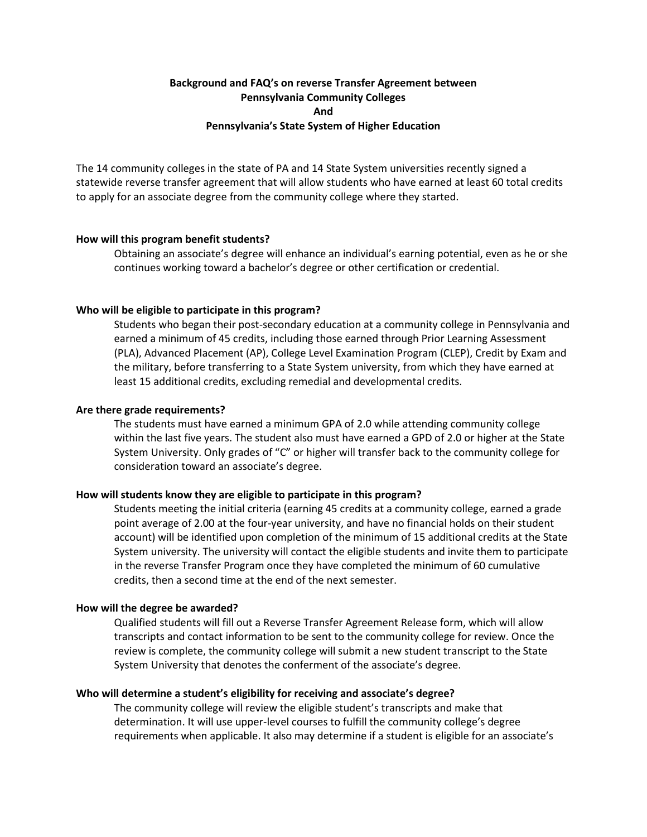# **Background and FAQ's on reverse Transfer Agreement between Pennsylvania Community Colleges And Pennsylvania's State System of Higher Education**

The 14 community colleges in the state of PA and 14 State System universities recently signed a statewide reverse transfer agreement that will allow students who have earned at least 60 total credits to apply for an associate degree from the community college where they started.

## **How will this program benefit students?**

Obtaining an associate's degree will enhance an individual's earning potential, even as he or she continues working toward a bachelor's degree or other certification or credential.

## **Who will be eligible to participate in this program?**

Students who began their post-secondary education at a community college in Pennsylvania and earned a minimum of 45 credits, including those earned through Prior Learning Assessment (PLA), Advanced Placement (AP), College Level Examination Program (CLEP), Credit by Exam and the military, before transferring to a State System university, from which they have earned at least 15 additional credits, excluding remedial and developmental credits.

#### **Are there grade requirements?**

The students must have earned a minimum GPA of 2.0 while attending community college within the last five years. The student also must have earned a GPD of 2.0 or higher at the State System University. Only grades of "C" or higher will transfer back to the community college for consideration toward an associate's degree.

#### **How will students know they are eligible to participate in this program?**

Students meeting the initial criteria (earning 45 credits at a community college, earned a grade point average of 2.00 at the four-year university, and have no financial holds on their student account) will be identified upon completion of the minimum of 15 additional credits at the State System university. The university will contact the eligible students and invite them to participate in the reverse Transfer Program once they have completed the minimum of 60 cumulative credits, then a second time at the end of the next semester.

#### **How will the degree be awarded?**

Qualified students will fill out a Reverse Transfer Agreement Release form, which will allow transcripts and contact information to be sent to the community college for review. Once the review is complete, the community college will submit a new student transcript to the State System University that denotes the conferment of the associate's degree.

## **Who will determine a student's eligibility for receiving and associate's degree?**

The community college will review the eligible student's transcripts and make that determination. It will use upper-level courses to fulfill the community college's degree requirements when applicable. It also may determine if a student is eligible for an associate's